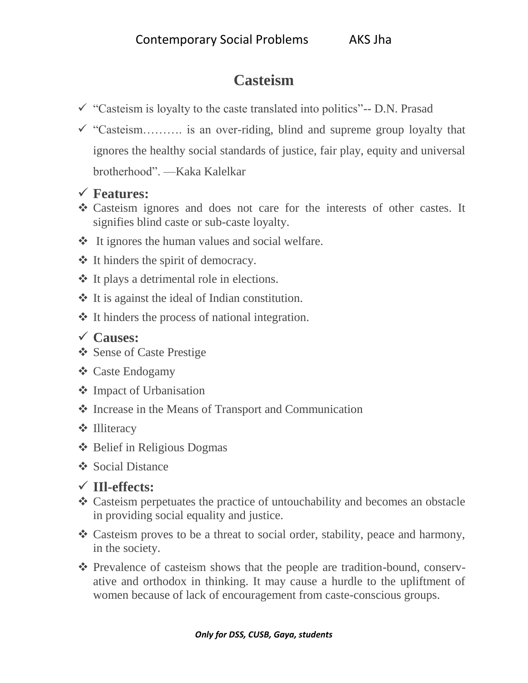## **Casteism**

- $\checkmark$  "Casteism is loyalty to the caste translated into politics"-- D.N. Prasad
- $\checkmark$  "Casteism……….. is an over-riding, blind and supreme group loyalty that ignores the healthy social standards of justice, fair play, equity and universal brotherhood". —Kaka Kalelkar
- **Features:**
- Casteism ignores and does not care for the interests of other castes. It signifies blind caste or sub-caste loyalty.
- $\triangleleft$  It ignores the human values and social welfare.
- $\triangleleft$  It hinders the spirit of democracy.
- $\triangleleft$  It plays a detrimental role in elections.
- $\triangleleft$  It is against the ideal of Indian constitution.
- It hinders the process of national integration.

## **Causes:**

- Sense of Caste Prestige
- Caste Endogamy
- **❖** Impact of Urbanisation
- Increase in the Means of Transport and Communication
- **❖** Illiteracy
- Belief in Religious Dogmas
- **❖** Social Distance

## **IIl-effects:**

- Casteism perpetuates the practice of untouchability and becomes an obstacle in providing social equality and justice.
- Casteism proves to be a threat to social order, stability, peace and harmony, in the society.
- Prevalence of casteism shows that the people are tradition-bound, conservative and orthodox in thinking. It may cause a hurdle to the upliftment of women because of lack of encouragement from caste-conscious groups.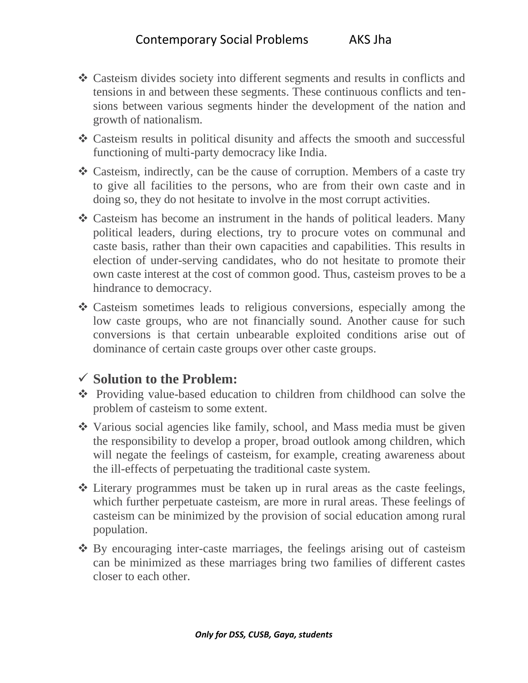- Casteism divides society into different segments and results in conflicts and tensions in and between these segments. These continuous conflicts and tensions between various segments hinder the development of the nation and growth of nationalism.
- Casteism results in political disunity and affects the smooth and successful functioning of multi-party democracy like India.
- Casteism, indirectly, can be the cause of corruption. Members of a caste try to give all facilities to the persons, who are from their own caste and in doing so, they do not hesitate to involve in the most corrupt activities.
- Casteism has become an instrument in the hands of political leaders. Many political leaders, during elections, try to procure votes on communal and caste basis, rather than their own capacities and capabilities. This results in election of under-serving candidates, who do not hesitate to promote their own caste interest at the cost of common good. Thus, casteism proves to be a hindrance to democracy.
- Casteism sometimes leads to religious conversions, especially among the low caste groups, who are not financially sound. Another cause for such conversions is that certain unbearable exploited conditions arise out of dominance of certain caste groups over other caste groups.

## **Solution to the Problem:**

- Providing value-based education to children from childhood can solve the problem of casteism to some extent.
- Various social agencies like family, school, and Mass media must be given the responsibility to develop a proper, broad outlook among children, which will negate the feelings of casteism, for example, creating awareness about the ill-effects of perpetuating the traditional caste system.
- Literary programmes must be taken up in rural areas as the caste feelings, which further perpetuate casteism, are more in rural areas. These feelings of casteism can be minimized by the provision of social education among rural population.
- By encouraging inter-caste marriages, the feelings arising out of casteism can be minimized as these marriages bring two families of different castes closer to each other.